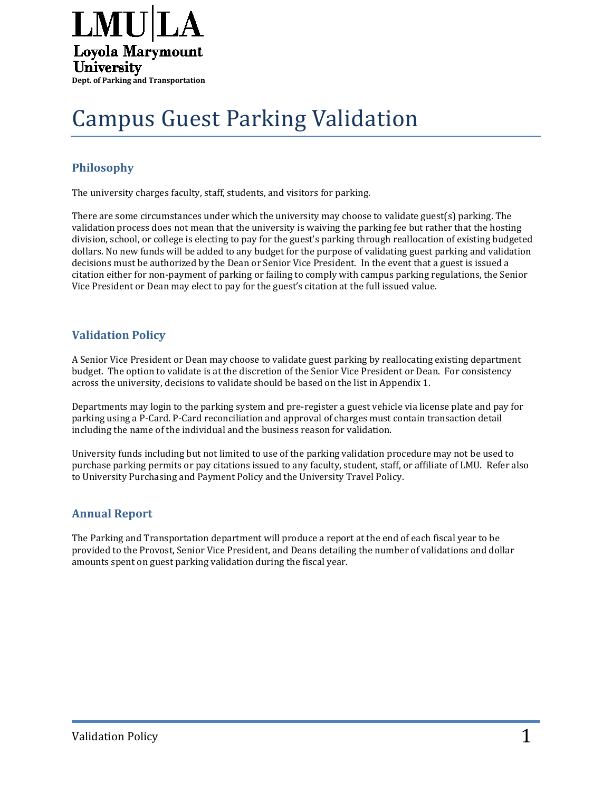

# Campus Guest Parking Validation

### **Philosophy**

The university charges faculty, staff, students, and visitors for parking.

There are some circumstances under which the university may choose to validate guest(s) parking. The validation process does not mean that the university is waiving the parking fee but rather that the hosting division, school, or college is electing to pay for the guest's parking through reallocation of existing budgeted dollars. No new funds will be added to any budget for the purpose of validating guest parking and validation decisions must be authorized by the Dean or Senior Vice President. In the event that a guest is issued a citation either for non-payment of parking or failing to comply with campus parking regulations, the Senior Vice President or Dean may elect to pay for the guest's citation at the full issued value.

#### **Validation Policy**

A Senior Vice President or Dean may choose to validate guest parking by reallocating existing department budget. The option to validate is at the discretion of the Senior Vice President or Dean. For consistency across the university, decisions to validate should be based on the list in Appendix 1.

Departments may login to the parking system and pre-register a guest vehicle via license plate and pay for parking using a P-Card. P-Card reconciliation and approval of charges must contain transaction detail including the name of the individual and the business reason for validation.

University funds including but not limited to use of the parking validation procedure may not be used to purchase parking permits or pay citations issued to any faculty, student, staff, or affiliate of LMU. Refer also to University Purchasing and Payment Policy and the University Travel Policy.

#### **Annual Report**

The Parking and Transportation department will produce a report at the end of each fiscal year to be provided to the Provost, Senior Vice President, and Deans detailing the number of validations and dollar amounts spent on guest parking validation during the fiscal year.